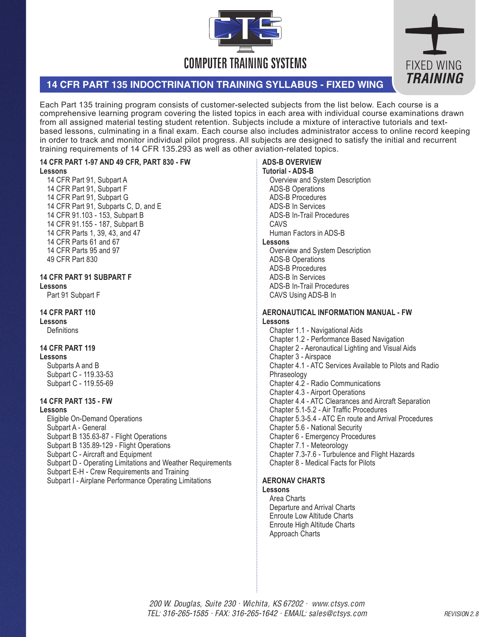



# **14 CFR PART 135 INDOCTRINATION TRAINING SYLLABUS - FIXED WING**

Each Part 135 training program consists of customer-selected subjects from the list below. Each course is a comprehensive learning program covering the listed topics in each area with individual course examinations drawn from all assigned material testing student retention. Subjects include a mixture of interactive tutorials and textbased lessons, culminating in a final exam. Each course also includes administrator access to online record keeping in order to track and monitor individual pilot progress. All subjects are designed to satisfy the initial and recurrent training requirements of 14 CFR 135.293 as well as other aviation-related topics.

## **14 CFR PART 1-97 AND 49 CFR, PART 830 - FW**

#### **Lessons**

14 CFR Part 91, Subpart A 14 CFR Part 91, Subpart F 14 CFR Part 91, Subpart G 14 CFR Part 91, Subparts C, D, and E 14 CFR 91.103 - 153, Subpart B 14 CFR 91.155 - 187, Subpart B 14 CFR Parts 1, 39, 43, and 47 14 CFR Parts 61 and 67 14 CFR Parts 95 and 97 49 CFR Part 830

#### **14 CFR PART 91 SUBPART F Lessons**

Part 91 Subpart F

## **14 CFR PART 110**

**Lessons** 

**Definitions** 

# **14 CFR PART 119**

**Lessons** Subparts A and B Subpart C - 119.33-53 Subpart C - 119.55-69

# **14 CFR PART 135 - FW**

**Lessons** 

Eligible On-Demand Operations Subpart A - General Subpart B 135.63-87 - Flight Operations Subpart B 135.89-129 - Flight Operations Subpart C - Aircraft and Equipment Subpart D - Operating Limitations and Weather Requirements Subpart E-H - Crew Requirements and Training Subpart I - Airplane Performance Operating Limitations

# **ADS-B OVERVIEW**

**Tutorial - ADS-B** Overview and System Description ADS-B Operations ADS-B Procedures ADS-B In Services ADS-B In-Trail Procedures CAVS Human Factors in ADS-B **Lessons** 

Overview and System Description ADS-B Operations ADS-B Procedures ADS-B In Services ADS-B In-Trail Procedures CAVS Using ADS-B In

#### **AERONAUTICAL INFORMATION MANUAL - FW Lessons**

Chapter 1.1 - Navigational Aids Chapter 1.2 - Performance Based Navigation Chapter 2 - Aeronautical Lighting and Visual Aids Chapter 3 - Airspace Chapter 4.1 - ATC Services Available to Pilots and Radio Phraseology Chapter 4.2 - Radio Communications Chapter 4.3 - Airport Operations Chapter 4.4 - ATC Clearances and Aircraft Separation Chapter 5.1-5.2 - Air Traffic Procedures Chapter 5.3-5.4 - ATC En route and Arrival Procedures Chapter 5.6 - National Security Chapter 6 - Emergency Procedures Chapter 7.1 - Meteorology Chapter 7.3-7.6 - Turbulence and Flight Hazards Chapter 8 - Medical Facts for Pilots

# **AERONAV CHARTS**

# **Lessons**

Area Charts Departure and Arrival Charts Enroute Low Altitude Charts Enroute High Altitude Charts Approach Charts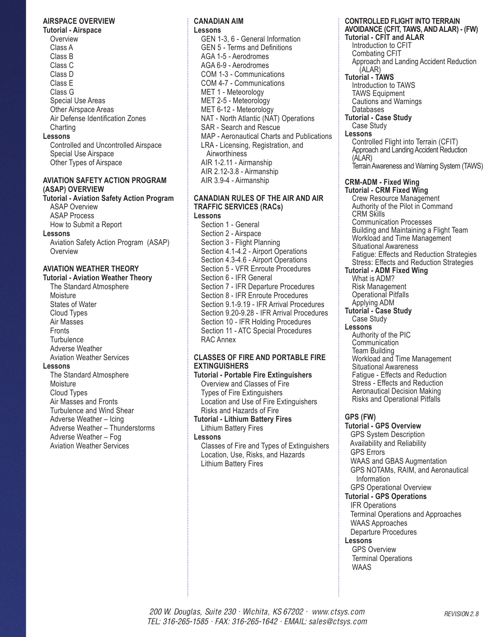#### **AIRSPACE OVERVIEW**

**Tutorial - Airspace Overview** Class A Class B Class C Class D Class E Class G Special Use Areas Other Airspace Areas Air Defense Identification Zones **Charting Lessons**  Controlled and Uncontrolled Airspace Special Use Airspace

Other Types of Airspace

## **AVIATION SAFETY ACTION PROGRAM (ASAP) OVERVIEW**

**Tutorial - Aviation Safety Action Program** ASAP Overview ASAP Process How to Submit a Report

**Lessons** 

Aviation Safety Action Program (ASAP) **Overview** 

## **AVIATION WEATHER THEORY**

**Tutorial - Aviation Weather Theory**

The Standard Atmosphere **Moisture** States of Water Cloud Types Air Masses **Fronts Turbulence** Adverse Weather Aviation Weather Services **Lessons**  The Standard Atmosphere

**Moisture** Cloud Types Air Masses and Fronts Turbulence and Wind Shear Adverse Weather – Icing Adverse Weather – Thunderstorms Adverse Weather – Fog Aviation Weather Services

#### **CANADIAN AIM Lessons**

GEN 1-3, 6 - General Information GEN 5 - Terms and Definitions AGA 1-5 - Aerodromes AGA 6-9 - Aerodromes COM 1-3 - Communications COM 4-7 - Communications MET 1 - Meteorology MET 2-5 - Meteorology MET 6-12 - Meteorology NAT - North Atlantic (NAT) Operations SAR - Search and Rescue MAP - Aeronautical Charts and Publications LRA - Licensing, Registration, and Airworthiness AIR 1-2.11 - Airmanship AIR 2.12-3.8 - Airmanship AIR 3.9-4 - Airmanship

# **CANADIAN RULES OF THE AIR AND AIR TRAFFIC SERVICES (RACs)**

**Lessons**  Section 1 - General Section 2 - Airspace Section 3 - Flight Planning Section 4.1-4.2 - Airport Operations Section 4.3-4.6 - Airport Operations Section 5 - VFR Enroute Procedures Section 6 - IFR General Section 7 - IFR Departure Procedures Section 8 - IFR Enroute Procedures Section 9.1-9.19 - IFR Arrival Procedures Section 9.20-9.28 - IFR Arrival Procedures Section 10 - IFR Holding Procedures Section 11 - ATC Special Procedures RAC Annex

### **CLASSES OF FIRE AND PORTABLE FIRE EXTINGUISHERS**

**Tutorial - Portable Fire Extinguishers** Overview and Classes of Fire Types of Fire Extinguishers Location and Use of Fire Extinguishers Risks and Hazards of Fire **Tutorial - Lithium Battery Fires** Lithium Battery Fires

**Lessons** 

Classes of Fire and Types of Extinguishers Location, Use, Risks, and Hazards Lithium Battery Fires

#### **CONTROLLED FLIGHT INTO TERRAIN AVOIDANCE (CFIT, TAWS, AND ALAR) - (FW) Tutorial - CFIT and ALAR** Introduction to CFIT Combating CFIT Approach and Landing Accident Reduction (ALAR) **Tutorial - TAWS** Introduction to TAWS TAWS Equipment Cautions and Warnings Databases **Tutorial - Case Study**

Case Study **Lessons**

Controlled Flight into Terrain (CFIT) Approach and Landing Accident Reduction (ALAR) Terrain Awareness and Warning System (TAWS)

#### **CRM-ADM - Fixed Wing Tutorial - CRM Fixed Wing**

Crew Resource Management Authority of the Pilot in Command CRM Skills Communication Processes Building and Maintaining a Flight Team Workload and Time Management Situational Awareness Fatigue: Effects and Reduction Strategies Stress: Effects and Reduction Strategies **Tutorial - ADM Fixed Wing** What is ADM? Risk Management Operational Pitfalls Applying ADM **Tutorial - Case Study** Case Study **Lessons**  Authority of the PIC **Communication** 

Team Building Workload and Time Management Situational Awareness Fatigue - Effects and Reduction Stress - Effects and Reduction Aeronautical Decision Making Risks and Operational Pitfalls

## **GPS (FW)**

**Tutorial - GPS Overview** GPS System Description Availability and Reliability GPS Errors

 WAAS and GBAS Augmentation GPS NOTAMs, RAIM, and Aeronautical Information GPS Operational Overview

### **Tutorial - GPS Operations**

 IFR Operations Terminal Operations and Approaches WAAS Approaches Departure Procedures

## **Lessons**

GPS Overview Terminal Operations WAAS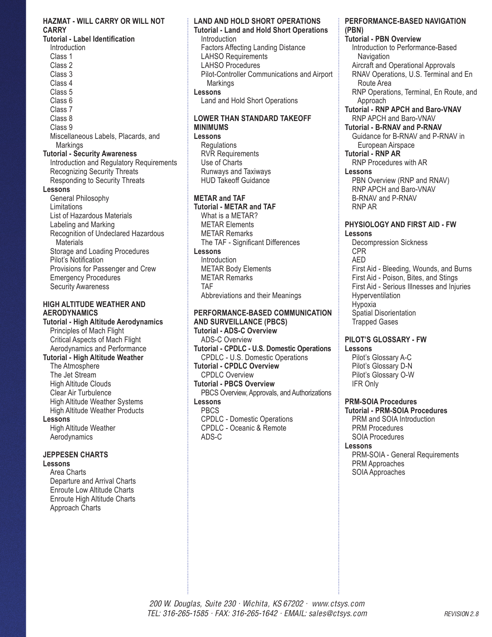### **HAZMAT - WILL CARRY OR WILL NOT CARRY**

**Tutorial - Label Identification Introduction** Class 1 Class 2 Class 3 Class 4 Class 5 Class 6 Class 7 Class 8 Class 9 Miscellaneous Labels, Placards, and **Markings Tutorial - Security Awareness** Introduction and Regulatory Requirements Recognizing Security Threats Responding to Security Threats **Lessons**  General Philosophy **Limitations** List of Hazardous Materials Labeling and Marking Recognition of Undeclared Hazardous **Materials** Storage and Loading Procedures Pilot's Notification

Provisions for Passenger and Crew Emergency Procedures Security Awareness

## **HIGH ALTITUDE WEATHER AND AERODYNAMICS**

**Tutorial - High Altitude Aerodynamics** Principles of Mach Flight Critical Aspects of Mach Flight Aerodynamics and Performance **Tutorial - High Altitude Weather** The Atmosphere The Jet Stream High Altitude Clouds Clear Air Turbulence High Altitude Weather Systems High Altitude Weather Products **Lessons**  High Altitude Weather Aerodynamics

# **JEPPESEN CHARTS**

## **Lessons**

Area Charts Departure and Arrival Charts Enroute Low Altitude Charts Enroute High Altitude Charts Approach Charts

## **LAND AND HOLD SHORT OPERATIONS**

**Tutorial - Land and Hold Short Operations** Introduction Factors Affecting Landing Distance LAHSO Requirements LAHSO Procedures Pilot-Controller Communications and Airport **Markings Lessons**  Land and Hold Short Operations

# **LOWER THAN STANDARD TAKEOFF MINIMUMS**

**Lessons Regulations** RVR Requirements Use of Charts Runways and Taxiways HUD Takeoff Guidance

## **METAR and TAF**

**Tutorial - METAR and TAF** What is a METAR? METAR Elements METAR Remarks The TAF - Significant Differences **Lessons Introduction** METAR Body Elements METAR Remarks TAF Abbreviations and their Meanings

#### **PERFORMANCE-BASED COMMUNICATION AND SURVEILLANCE (PBCS)**

**Tutorial - ADS-C Overview** ADS-C Overview **Tutorial - CPDLC - U.S. Domestic Operations** CPDLC - U.S. Domestic Operations **Tutorial - CPDLC Overview** CPDLC Overview **Tutorial - PBCS Overview** PBCS Overview, Approvals, and Authorizations **Lessons** PBCS CPDLC - Domestic Operations CPDLC - Oceanic & Remote ADS-C

#### **PERFORMANCE-BASED NAVIGATION (PBN)**

**Tutorial - PBN Overview** Introduction to Performance-Based **Navigation** Aircraft and Operational Approvals RNAV Operations, U.S. Terminal and En Route Area RNP Operations, Terminal, En Route, and Approach **Tutorial - RNP APCH and Baro-VNAV** RNP APCH and Baro-VNAV **Tutorial - B-RNAV and P-RNAV** Guidance for B-RNAV and P-RNAV in European Airspace **Tutorial - RNP AR** RNP Procedures with AR **Lessons** PBN Overview (RNP and RNAV) RNP APCH and Baro-VNAV B-RNAV and P-RNAV RNP AR **PHYSIOLOGY AND FIRST AID - FW Lessons**  Decompression Sickness CPR

AED First Aid - Bleeding, Wounds, and Burns First Aid - Poison, Bites, and Stings First Aid - Serious Illnesses and Injuries **Hyperventilation** Hypoxia Spatial Disorientation Trapped Gases

## **PILOT'S GLOSSARY - FW Lessons**

Pilot's Glossary A-C Pilot's Glossary D-N Pilot's Glossary O-W IFR Only

# **PRM-SOIA Procedures**

**Tutorial - PRM-SOIA Procedures** PRM and SOIA Introduction PRM Procedures SOIA Procedures

### **Lessons**

PRM-SOIA - General Requirements PRM Approaches SOIA Approaches